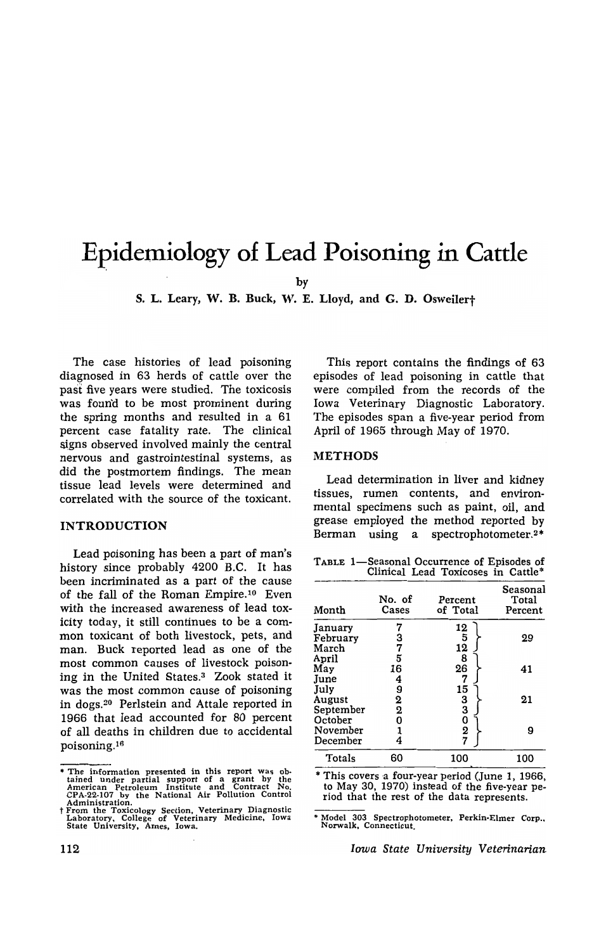# **Epidemiology of Lead Poisoning in Cattle**

by

S. L. Leary. W. B. Buck. W. E. Lloyd. and G. D. Osweilert

The case histories of lead poisoning diagnosed in 63 herds of cattle over the past five years were studied. The toxicosis was found to be most prominent during the spring months and resulted in a 61 percent case fatality rate. The clinical signs observed involved mainly the central nervous and gastrointestinal systems, as did the postmortem findings. The mean tissue lead levels were determined and correlated with the source of the toxicant.

#### INTRODUCTION

Lead poisoning has been a part of man's history since probably 4200 B.C. It has been incriminated as a part of the cause of the fall of the Roman Empire.<sup>10</sup> Even with the increased awareness of lead toxicity today. it still continues to be a common toxicant of both livestock, pets, and man. Buck reported lead as one of the most common causes of livestock poisoning in the United States.3 Zook stated it was the most common cause of poisoning in dogs.20 Perlstein and Attale reported in 1966 that lead accounted for 80 percent of all deaths in children due to accidental poisoning.<sup>16</sup>

This report contains the findings of 63 episodes of lead poisoning in cattle that were compiled from the records of the Iowa Veterinary Diagnostic Laboratory. The episodes span a five-year period from April of 1965 through May of 1970.

#### METHODS

Lead determination in liver and kidney tissues, rumen contents, and environmental specimens such as paint, oil, and grease employed the method reported by Berman using a spectrophotometer.<sup>2\*</sup>

| TABLE 1—Seasonal Occurrence of Episodes of |  |  |  |
|--------------------------------------------|--|--|--|
| Clinical Lead Toxicoses in Cattle*         |  |  |  |

| Month     | No. of<br>Cases         | Percent<br>of Total            | Seasonal<br>Total<br>Percent |
|-----------|-------------------------|--------------------------------|------------------------------|
| January   |                         | 12                             |                              |
| February  | 3                       |                                | 29                           |
| March     | 7                       |                                |                              |
| April     | 5                       | $\frac{1}{3}$<br>$\frac{5}{8}$ |                              |
| May       | 16                      | 26                             | 41                           |
| June      | 4                       | 7                              |                              |
| July      | 9                       | 15                             |                              |
| August    | 2                       |                                | 21                           |
| September | $\overline{\mathbf{2}}$ |                                |                              |
| October   | o                       |                                |                              |
| November  |                         |                                | 9                            |
| December  |                         | 33027                          |                              |
| Totals    | 60                      | 100                            | 100                          |

\* This covers 'a four-year period (June 1, 1966, to May 30, 1970) instead of the five-year period that the rest of the data represents.

• Model 303 Spectrophotometer, Perkin-Elmer Corp .. Norwalk, Connecticut.

*Iowa State University Veterinarian* 

<sup>•</sup> The information presented in this report was ob-tained under partial support of a grant by the American Petroleum Institute and Contract No. CPA-22-107 by the National Air Pollution Control Administration.

<sup>†</sup> From the Toxicology Section, Veterinary Diagnostic Laboratory, College of Veterinary Medicine, Iowa<br>State University, Ames, Iowa.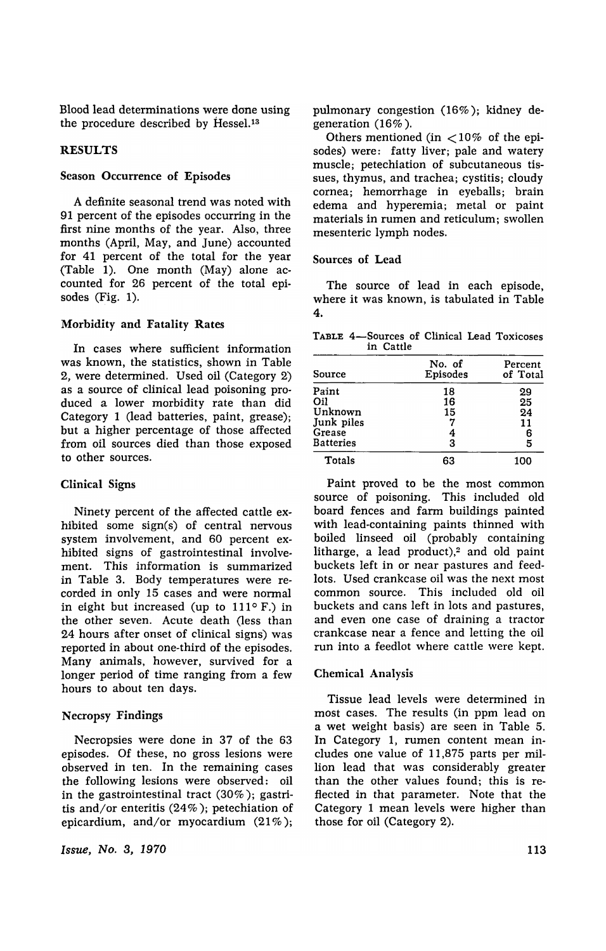Blood lead determinations were done using the procedure described by Hessel.<sup>13</sup>

#### RESULTS

#### Season Occurrence of Episodes

A definite seasonal trend was noted with 91 percent of the episodes occurring in the first nine months of the year. Also, three months (April, May, and June) accounted for 41 percent of the total for the year (Table 1). One month (May) alone accounted for 26 percent of the total episodes (Fig. 1).

#### Morbidity and Fatality Rates

In cases where sufficient information was known, the statistics, shown in Table 2, were determined. Used oil (Category 2) as a source of clinical lead poisoning produced a lower morbidity rate than did Category 1 (lead batteries, paint, grease); but a higher percentage of those affected from oil sources died than those exposed to other sources.

#### Clinical Signs

Ninety percent of the affected cattle exhibited some sign(s) of central nervous system involvement, and 60 percent exhibited signs of gastrointestinal involvement. This information is summarized in Table 3. Body temperatures were recorded in only 15 cases and were normal in eight but increased (up to  $111^\circ$  F.) in the other seven. Acute death (less than 24 hours after onset of clinical signs) was reported in about one-third of the episodes. Many animals, however, survived for a longer period of time ranging from a few hours to about ten days.

#### Necropsy Findings

Necropsies were done in 37 of the 63 episodes. Of these, no gross lesions were observed in ten. In the remaining cases the following lesions were observed: oil in the gastrointestinal tract (30%); gastritis and/or enteritis (24%); petechiation of epicardium, and/or myocardium  $(21\%)$ ;

*Issue, No.3, 1970* 

pulmonary congestion (16%); kidney degeneration (16%).

Others mentioned (in  $\langle 10\%$  of the episodes) were: fatty liver; pale and watery muscle; petechiation of subcutaneous tissues, thymus, and trachea; cystitis; cloudy cornea; hemorrhage in eyeballs; brain edema and hyperemia; metal or paint materials in rumen and reticulum; swollen mesenteric lymph nodes.

#### Sources of Lead

The source of lead in each episode, where it was known, is tabulated in Table 4.

TABLE 4-Sources of Clinical Lead Toxicoses in Cattle

| Source     | No. of<br>Episodes | Percent<br>of Total |
|------------|--------------------|---------------------|
| Paint      | 18                 | 29                  |
| Oil        | 16                 | 25                  |
| Unknown    | 15                 | 24                  |
| Junk piles | 7                  | 11                  |
| Grease     | 4                  | 6                   |
| Batteries  | 3                  | 5                   |
| Totals     | 63                 | 100                 |
|            |                    |                     |

Paint proved to be the most common source of poisoning. This included old board fences and farm buildings painted with lead-containing paints thinned with boiled linseed oil (probably containing litharge, a lead product), $2$  and old paint buckets left in or near pastures and feedlots. Used crankcase oil was the next most common source. This included old oil buckets and cans left in lots and pastures, and even one case of draining a tractor crankcase near a fence and letting the oil run into a feedlot where cattle were kept.

#### Chemical Analysis

Tissue lead levels were determined in most cases. The results (in ppm lead on a wet weight basis) are seen in Table 5. In Category 1, rumen content mean includes one value of 11,875 parts per million lead that was considerably greater than the other values found; this is reflected in that parameter. Note that the Category 1 mean levels were higher than those for oil (Category 2).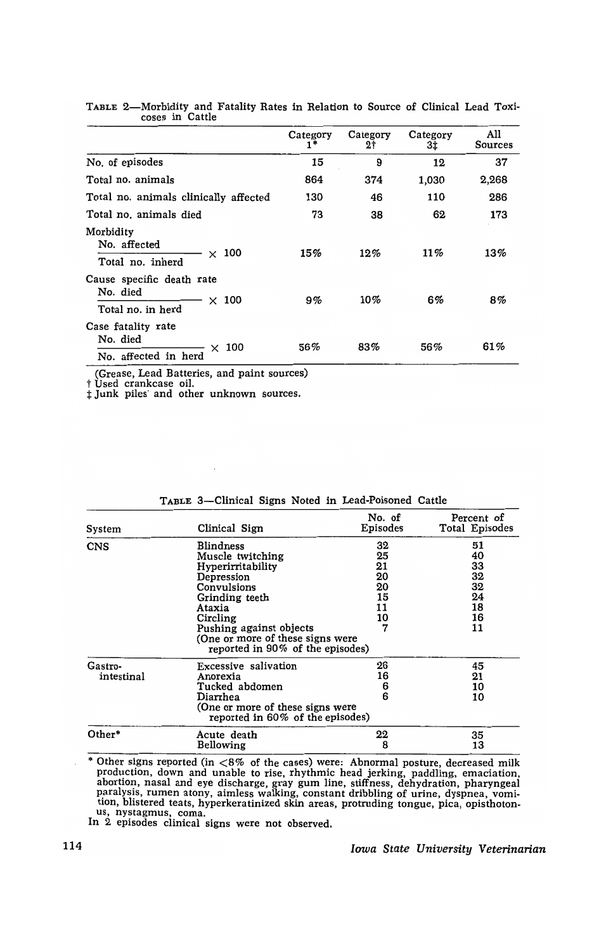|                                                                            | Category<br>1* | Category<br>2† | Category<br>3‡ | All<br><b>Sources</b> |
|----------------------------------------------------------------------------|----------------|----------------|----------------|-----------------------|
| No. of episodes                                                            | 15             | 9              | 12             | 37                    |
| Total no. animals                                                          | 864            | 374            | 1,030          | 2,268                 |
| Total no. animals clinically affected                                      | 130            | 46             | 110            | 286                   |
| Total no. animals died                                                     | 73             | 38             | 62             | 173                   |
| Morbidity<br>No. affected<br>$\times$ 100<br>Total no. inherd              | 15%            | 12%            | 11%            | 13%                   |
| Cause specific death rate<br>No. died<br>$\times$ 100<br>Total no. in herd | 9%             | 10%            | 6%             | 8%                    |
| Case fatality rate<br>No. died<br>$\times$ 100<br>No. affected in herd     | 56%            | 83%            | 56%            | 61%                   |

|  | TABLE 2—Morbidity and Fatality Rates in Relation to Source of Clinical Lead Toxi- |  |  |  |  |  |  |
|--|-----------------------------------------------------------------------------------|--|--|--|--|--|--|
|  | coses in Cattle                                                                   |  |  |  |  |  |  |

(Grease, Lead Batteries, and paint sources)

 $\bar{L}$ 

t Used crankcase oil.

:I: Junk piles' and other unknown sources.

| System                | Clinical Sign                                                                                                                                                                                                              | No. of<br>Episodes                                | Percent of<br>Total Episodes                       |
|-----------------------|----------------------------------------------------------------------------------------------------------------------------------------------------------------------------------------------------------------------------|---------------------------------------------------|----------------------------------------------------|
| <b>CNS</b>            | Blindness<br>Muscle twitching<br>Hyperirritability<br>Depression<br>Convulsions<br>Grinding teeth<br>Ataxia<br>Circling<br>Pushing against objects<br>(One or more of these signs were<br>reported in 90% of the episodes) | 32<br>25<br>21<br>20<br>20<br>15<br>11<br>10<br>7 | 51<br>40<br>33<br>32<br>32<br>24<br>18<br>16<br>11 |
| Gastro-<br>intestinal | Excessive salivation<br>Anorexia<br>Tucked abdomen<br>Diarrhea<br>(One or more of these signs were<br>reported in 60% of the episodes)                                                                                     | 26<br>16<br>6<br>6                                | 45<br>21<br>10<br>10                               |
| Other*                | Acute death<br>Bellowing                                                                                                                                                                                                   | 22<br>8                                           | 35<br>13                                           |

|  |  | TABLE 3--Clinical Signs Noted in Lead-Poisoned Cattle |  |
|--|--|-------------------------------------------------------|--|
|  |  |                                                       |  |

\* Other signs reported (in  $< 8\%$  of the cases) were: Abnormal posture, decreased milk production, down and unable to rise, rhythmic head jerking, paddling, emaciation, abortion, nasal and eye discharge, gray gum line, stiffness, dehydration, pharyngeal paralysis, rumen atony, aimless walking, constant dribbling of urine, dyspnea, vomition, blistered teats, hyperkeratinized skin areas, protruding tongue, pica, opisthotonus, nystagmus, coma. In 2 episodes clinical signs were not observed.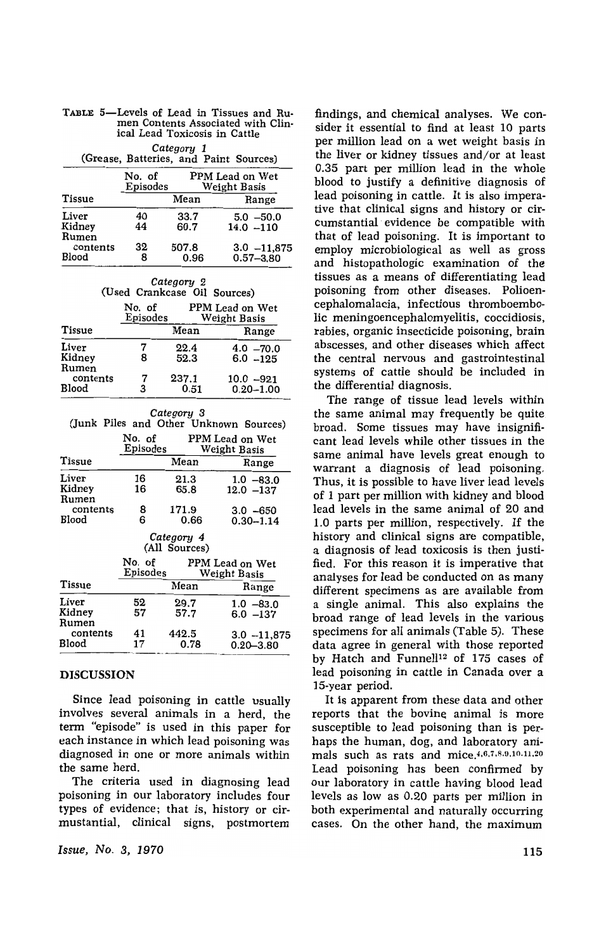| Category 1<br>(Grease, Batteries, and Paint Sources) |                                                       |               |                                 |  |  |  |  |
|------------------------------------------------------|-------------------------------------------------------|---------------|---------------------------------|--|--|--|--|
|                                                      | No. of<br>PPM Lead on Wet<br>Episodes<br>Weight Basis |               |                                 |  |  |  |  |
| <b>Tissue</b>                                        |                                                       | Mean          | Range                           |  |  |  |  |
| Liver<br>Kidney<br>Rumen                             | 40<br>44                                              | 33.7<br>60.7  | $5.0 - 50.0$<br>$14.0 - 110$    |  |  |  |  |
| contents<br>Blood                                    | 32<br>8                                               | 507.8<br>0.96 | $3.0 - 11,875$<br>$0.57 - 3.80$ |  |  |  |  |

| TABLE 5-Levels of Lead in Tissues and Ru- |  |
|-------------------------------------------|--|
| men Contents Associated with Clin-        |  |
| ical Lead Toxicosis in Cattle             |  |

| Category 2<br>(Used Crankcase Oil Sources)            |        |               |                              |  |  |  |
|-------------------------------------------------------|--------|---------------|------------------------------|--|--|--|
| No. of<br>PPM Lead on Wet<br>Episodes<br>Weight Basis |        |               |                              |  |  |  |
| <b>Tissue</b>                                         |        | Mean          | Range                        |  |  |  |
| Liver<br>Kidney                                       |        | 22.4<br>52.3  | $4.0 - 70.0$<br>$6.0 - 125$  |  |  |  |
| Rumen<br>contents<br>Blood                            | 7<br>3 | 237.1<br>0.51 | $10.0 -921$<br>$0.20 - 1.00$ |  |  |  |

|          | Category 3                      | (Junk Piles and Other Unknown Sources)                        |  |  |  |
|----------|---------------------------------|---------------------------------------------------------------|--|--|--|
| No. of   |                                 | PPM Lead on Wet<br>Weight Basis                               |  |  |  |
|          | Mean                            | Range                                                         |  |  |  |
| 16<br>16 | 21.3<br>65.8                    | $1.0 - 83.0$<br>$12.0 - 137$                                  |  |  |  |
| 8<br>6   | 171.9<br>0.66                   | $3.0 - 650$<br>$0.30 - 1.14$                                  |  |  |  |
|          |                                 |                                                               |  |  |  |
|          | PPM Lead on Wet<br>Weight Basis |                                                               |  |  |  |
|          | Mean                            | Range                                                         |  |  |  |
| 52<br>57 | 29.7<br>57.7                    | $1.0 - 83.0$<br>$6.0 - 137$                                   |  |  |  |
| 41<br>17 | 442.5<br>0.78                   | $3.0 - 11,875$<br>$0.20 - 3.80$                               |  |  |  |
|          |                                 | Episodes<br>Category 4<br>(All Sources)<br>No. of<br>Episodes |  |  |  |

### DISCUSSION

Since lead poisoning in cattle usually involves several animals in a herd, the term "episode" is used in this paper for each instance in which lead poisoning was diagnosed in one or more animals within the same herd.

The criteria used in diagnosing lead poisoning in our laboratory includes four types of evidence; that is, history or cirmustantial, clinical signs, postmortem

*Issue, No.3, 1970* 

findings, and chemical analyses. We consider it essential to find at least 10 parts per million lead on a wet weight basis in the liver or kidney tissues and/or at least 0.35 part per million lead in the whole blood to justify a definitive diagnosis of lead poisoning in cattle. It is also imperative that clinical signs and history or circumstantial evidence be compatible with that of lead poisoning. It is important to employ microbiological as well as gross and histopathologic examination of the tissues as a means of differentiating lead poisoning from other diseases. Polioencephalomalacia, infectious thromboembolic meningoencephalomyelitis, coccidiosis, rabies, organic insecticide poisoning, brain abscesses, and other diseases which affect the central nervous and gastrointestinal systems of cattle should be included in the differential diagnosis.

The range of tissue lead levels within the same animal may frequently be quite broad. Some tissues may have insignificant lead levels while other tissues in the same animal have levels great enough to warrant a diagnosis of lead poisoning. Thus, it is possible to have liver lead levels of 1 part per million with kidney and blood lead levels in the same animal of 20 and 1.0 parts per million, respectively. If the history and clinical signs are compatible, a diagnosis of lead toxicosis is then justified. For this reason it is imperative that analyses for lead be conducted on as many different specimens as are available from a single animal. This also explains the broad range of lead levels in the various specimens for all animals (Table 5). These data agree in general with those reported by Hatch and Funnell<sup>12</sup> of 175 cases of lead poisoning in cattle in Canada over a 15-year period.

It is apparent from these data and other reports that the bovine animal is more susceptible to lead poisoning than is perhaps the human, dog, and laboratory animals such as rats and mice. 4,6.7,8.9.10.11.20 Lead poisoning has been confirmed by our laboratory in cattle having blood lead levels as low as 0.20 parts per million in both experimental and naturally occurring cases. On the other hand, the maximum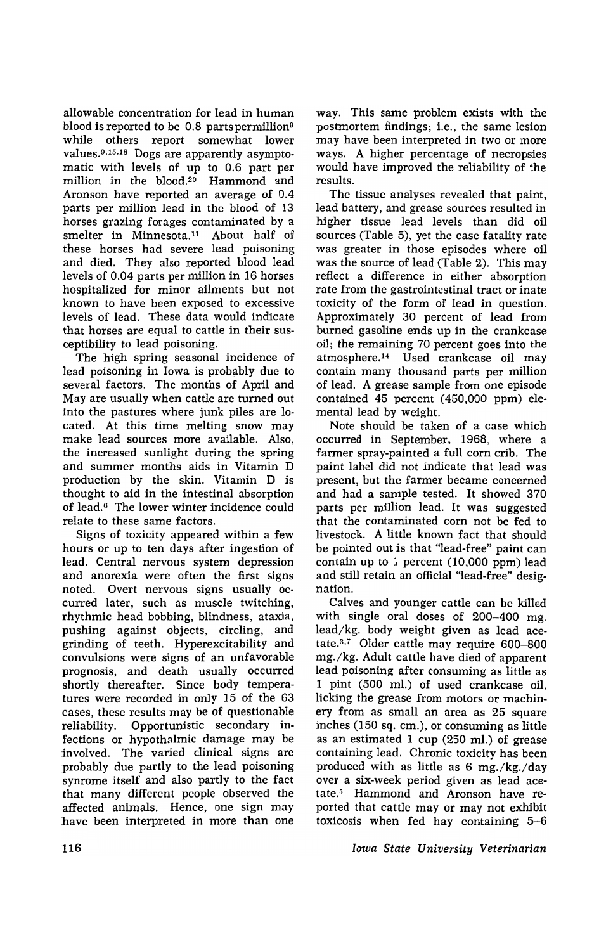allowable concentration for lead in human blood is reported to be  $0.8$  parts permillion<sup>9</sup> while others report somewhat lower values. $9,15,18$  Dogs are apparently asymptomatic with levels of up to 0.6 part per million in the blood.20 Hammond and Aronson have reported an average of 0.4 parts per million lead in the blood of 13 horses grazing forages contaminated by a smelter in Minnesota.<sup>11</sup> About half of these horses had severe lead poisoning and died. They also reported blood lead levels of 0.04 parts per million in 16 horses hospitalized for minor ailments but not known to have been exposed to excessive levels of lead. These data would indicate that horses are equal to cattle in their susceptibility to lead poisoning.

The high spring seasonal incidence of lead poisoning in Iowa is probably due to several factors. The months of April and May are usually when cattle are turned out into the pastures where junk piles are located. At this time melting snow may make lead sources more available. Also, the increased sunlight during the spring and summer months aids in Vitamin D production by the skin. Vitamin D is thought to aid in the intestinal absorption of lead.<sup>6</sup> The lower winter incidence could relate to these same factors.

Signs of toxicity appeared within a few hours or up to ten days after ingestion of lead. Central nervous system depression and anorexia were often the first signs noted. Overt nervous signs usually occurred later, such as muscle twitching, rhythmic head bobbing, blindness, ataxia, pushing against objects, circling, and grinding of teeth. Hyperexcitability and convulsions were signs of an unfavorable prognosis, and death usually occurred shortly thereafter. Since body temperatures were recorded in only 15 of the 63 cases, these results may be of questionable reliability. Opportunistic secondary infections or hypothalmic damage may be involved. The varied clinical signs are probably due partly to the lead poisoning synrome itself and also partly to the fact that many different people observed the affected animals. Hence, one sign may have been interpreted in more than one

way. This same problem exists with the postmortem findings; i.e., the same lesion may have been interpreted in two or more ways. A higher percentage of necropsies would have improved the reliability of the results.

The tissue analyses revealed that paint, lead battery, and grease sources resulted in higher tissue lead levels than did oil sources (Table 5), yet the case fatality rate was greater in those episodes where oil was the source of lead (Table 2). This may reflect a difference in either absorption rate from the gastrointestinal tract or inate toxicity of the form of lead in question. Approximately 30 percent of lead from burned gasoline ends up in the crankcase oil; the remaining 70 percent goes into the atmosphere.<sup>14</sup> Used crankcase oil may contain many thousand parts per million of lead. A grease sample from one episode contained 45 percent (450,000 ppm) *ele*mental lead by weight.

Note should be taken of a case which occurred in September, 1965, where a farmer spray-painted a full corn crib. The paint label did not indicate that lead was present, but the farmer became concerned and had a sample tested. It showed 370 parts per million lead. It was suggested that the contaminated corn not be fed to livestock. A little known fact that should be pointed out is that '1ead-free" paint can contain up to 1 percent (10,000 ppm) lead and still retain an official "lead-free" designation.

Calves and younger cattle can be killed with single oral doses of 200-400 mg. lead/kg. body weight given as lead acetate.<sup>3,7</sup> Older cattle may require 600-800 mg./kg. Adult cattle have died of apparent lead poisoning after consuming as little as 1 pint (500 ml.) of used crankcase oil, licking the grease from motors or machinery from as small an area as 25 square inches (150 sq. cm.), or consuming as little as an estimated 1 cup (250 ml.) of grease containing lead. Chronic toxicity has been produced with as little as 6 mg./kg./day over a six-week period given as lead acetate.5 Hammond and Aronson have reported that cattle mayor may not exhibit toxicosis when fed hay containing 5-6

*Iowa State University Veterinarian*